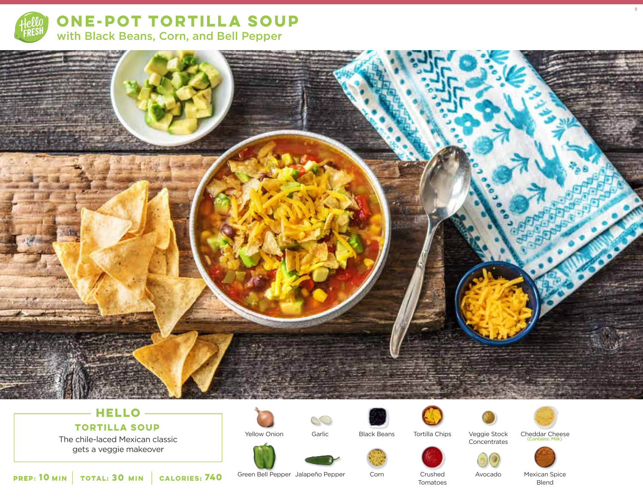

**ONE-POT TORTILLA SOUP**  with Black Beans, Corn, and Bell Pepper



# **HELLO**

**TORTILLA SOUP**

The chile-laced Mexican classic gets a veggie makeover

Yellow Onion



Black Beans

Corn





Veggie Stock

Concentrates



9

Cheddar Cheese (Contains: Milk)



**10** MIN | TOTAL: **30** MIN | CALORIES: **CALORIES: 740**  Green Bell Pepper Jalapeño Pepper

Crushed Tomatoes

Avocado

Mexican Spice Blend